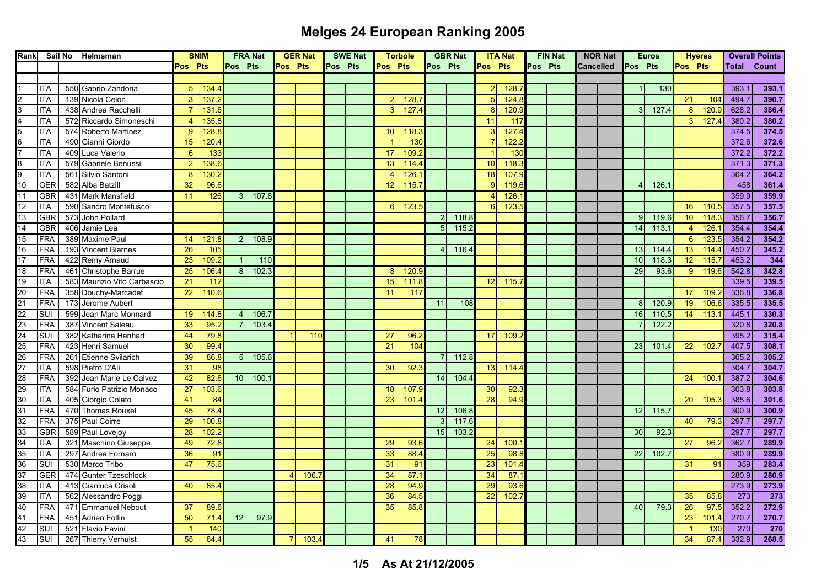| Rank                                                     |            |     | Sail No Helmsman            |                 | <b>SNIM</b>     | <b>FRA Nat</b> |       | <b>GER Nat</b> |       | <b>SWE Nat</b> |  | <b>Torbole</b>           |                 | <b>GBR Nat</b> |       | <b>ITA Nat</b>  |       | <b>FIN Nat</b> |  | <b>NOR Nat</b>   |  | <b>Euros</b> |       |                 | <b>Hyeres</b>   |                    | <b>Overall Points</b> |
|----------------------------------------------------------|------------|-----|-----------------------------|-----------------|-----------------|----------------|-------|----------------|-------|----------------|--|--------------------------|-----------------|----------------|-------|-----------------|-------|----------------|--|------------------|--|--------------|-------|-----------------|-----------------|--------------------|-----------------------|
|                                                          |            |     |                             | Pos Pts         |                 | Pos Pts        |       | Pos Pts        |       | Pos Pts        |  | Pos Pts                  |                 | Pos Pts        |       | Pos Pts         |       | Pos Pts        |  | <b>Cancelled</b> |  | Pos Pts      |       | Pos Pts         |                 | <b>Total Count</b> |                       |
|                                                          |            |     |                             |                 |                 |                |       |                |       |                |  |                          |                 |                |       |                 |       |                |  |                  |  |              |       |                 |                 |                    |                       |
| $\mathbf{1}$                                             | <b>ITA</b> |     | 550 Gabrio Zandona          | 5 <sup>1</sup>  | 134.4           |                |       |                |       |                |  |                          |                 |                |       | 2 <sub>l</sub>  | 128.  |                |  |                  |  |              | 130   |                 |                 | 393.7              | 393.1                 |
| $\overline{c}$                                           | <b>ITA</b> |     | 139 Nicola Celon            | 3               | 137.2           |                |       |                |       |                |  | $\overline{\mathcal{P}}$ | 128.            |                |       | 5               | 124.8 |                |  |                  |  |              |       | 21              | 10 <sup>2</sup> | 494.7              | 390.7                 |
| $\frac{3}{4}$                                            | <b>ITA</b> |     | 438 Andrea Racchelli        |                 | 131.6           |                |       |                |       |                |  |                          | 127.            |                |       | 8               | 120.9 |                |  |                  |  | 3            | 127.  | 8               | 120.            | 628.2              | 386.4                 |
|                                                          | ITA        |     | 572 Riccardo Simoneschi     |                 | 135.8           |                |       |                |       |                |  |                          |                 |                |       | 11              | 117   |                |  |                  |  |              |       |                 | 127.            | 380.2              | 380.2                 |
| $\frac{5}{7}$                                            | ITA        |     | 574 Roberto Martinez        | Q               | 128.8           |                |       |                |       |                |  | 10                       | 118.            |                |       | 3               | 127.4 |                |  |                  |  |              |       |                 |                 | 374.5              | 374.5                 |
|                                                          | <b>ITA</b> | 490 | Gianni Giordo               | 15              | 120.4           |                |       |                |       |                |  |                          | 13 <sub>0</sub> |                |       |                 | 122.  |                |  |                  |  |              |       |                 |                 | 372.6              | 372.6                 |
|                                                          | <b>ITA</b> |     | 409 Luca Valerio            | 6               | 133             |                |       |                |       |                |  | 17                       | 109.            |                |       |                 | 13C   |                |  |                  |  |              |       |                 |                 | 372.2              | 372.2                 |
| $\begin{array}{c}\n 8 \\ 9 \\ \hline\n 10\n \end{array}$ | <b>ITA</b> |     | 579 Gabriele Benussi        |                 | 138.6           |                |       |                |       |                |  | 13                       | 114.4           |                |       | 10 <sup>°</sup> | 118.  |                |  |                  |  |              |       |                 |                 | 371.3              | 371.3                 |
|                                                          | ITA        | 561 | Silvio Santoni              | 8               | 130.2           |                |       |                |       |                |  |                          | 126.            |                |       | 18              | 107.9 |                |  |                  |  |              |       |                 |                 | 364.2              | 364.2                 |
|                                                          | <b>GER</b> | 582 | Alba Batzill                | 32              | 96.6            |                |       |                |       |                |  | 12                       | 115.            |                |       | $\Omega$        | 119.  |                |  |                  |  |              | 126.  |                 |                 | 458                | 361.4                 |
| 11                                                       | <b>GBR</b> | 431 | <b>Mark Mansfield</b>       | 11              | 126             |                | 107.8 |                |       |                |  |                          |                 |                |       |                 | 126.  |                |  |                  |  |              |       |                 |                 | 359.9              | 359.9                 |
| 12                                                       | <b>ITA</b> |     | 590 Sandro Montefusco       |                 |                 |                |       |                |       |                |  | $6 \mid$                 | 123.            |                |       | 6               | 123.5 |                |  |                  |  |              |       | 16              | 110.            | 357.5              | 357.5                 |
| 13                                                       | <b>GBR</b> |     | 573 John Pollard            |                 |                 |                |       |                |       |                |  |                          |                 | $\mathcal{P}$  | 118.8 |                 |       |                |  |                  |  | 9            | 119.6 | 10              | 118.            | 356.7              | 356.7                 |
| 14                                                       | <b>GBR</b> | 406 | Jamie Lea                   |                 |                 |                |       |                |       |                |  |                          |                 | 5 <sub>1</sub> | 115.2 |                 |       |                |  |                  |  | 14           | 113.  |                 | 126.            | 354.4              | 354.4                 |
| 15                                                       | FRA        |     | 389 Maxime Paul             | 14              | 121.8           |                | 108.9 |                |       |                |  |                          |                 |                |       |                 |       |                |  |                  |  |              |       | 6               | 123.            | 354.2              | 354.2                 |
| 16                                                       | <b>FRA</b> |     | 193 Vincent Biarnes         | 26              | 105             |                |       |                |       |                |  |                          |                 |                | 116.4 |                 |       |                |  |                  |  | 13           | 114.  | 13              | 114.            | 450.2              | 345.2                 |
| 17                                                       | FRA        |     | 422 Remy Arnaud             | $\overline{23}$ | 109.2           |                | 110   |                |       |                |  |                          |                 |                |       |                 |       |                |  |                  |  | 10           | 118.  | $\overline{12}$ | 115.            | 453.2              | 344                   |
| 18                                                       | FRA        |     | 461 Christophe Barrue       | 25              | 106.4           |                | 102.3 |                |       |                |  | 8                        | 120.9           |                |       |                 |       |                |  |                  |  | 29           | 93.6  | 9               | 119.6           | 542.8              | 342.8                 |
| 19                                                       | ITA        |     | 583 Maurizio Vito Carbascio | 21              | 112             |                |       |                |       |                |  | 15                       | 111.            |                |       | 12              | 115   |                |  |                  |  |              |       |                 |                 | 339.5              | 339.5                 |
| 20                                                       | <b>FRA</b> |     | 358 Douchy-Marcadet         | $\overline{22}$ | 110.6           |                |       |                |       |                |  | 11                       | 117             |                |       |                 |       |                |  |                  |  |              |       | 17              | 109             | 336.8              | 336.8                 |
|                                                          | <b>FRA</b> |     | 173 Jerome Aubert           |                 |                 |                |       |                |       |                |  |                          |                 | 11             | 108   |                 |       |                |  |                  |  | 8            | 120.  | 19              | 106.            | 335.5              | 335.5                 |
|                                                          | SUI        |     | 599 Jean Marc Monnard       | 19              | 114.8           |                | 106.7 |                |       |                |  |                          |                 |                |       |                 |       |                |  |                  |  | 16           | 110.  | 14              | 113.            | 445.1              | 330.3                 |
| $\frac{21}{22}$<br>$\frac{22}{23}$<br>$\frac{23}{25}$    | <b>FRA</b> | 387 | <b>Vincent Saleau</b>       | 33              | 95.2            |                | 103.4 |                |       |                |  |                          |                 |                |       |                 |       |                |  |                  |  |              | 122.2 |                 |                 | 320.8              | 320.8                 |
|                                                          | SUI        |     | 382 Katharina Hanhart       | 44              | 79.8            |                |       |                | 110   |                |  | 27                       | 96.             |                |       | 17              | 109.3 |                |  |                  |  |              |       |                 |                 | 395.2              | 315.4                 |
|                                                          | <b>FRA</b> |     | 423 Henri Samuel            | 30              | 99.4            |                |       |                |       |                |  | 21                       | 104             |                |       |                 |       |                |  |                  |  | 23           | 101.  | 22              | 102.            | 407.5              | 308.1                 |
|                                                          | <b>FRA</b> |     | 261 Etienne Svilarich       | 39              | 86.8            |                | 105.6 |                |       |                |  |                          |                 | $\overline{7}$ | 112.8 |                 |       |                |  |                  |  |              |       |                 |                 | 305.2              | 305.2                 |
|                                                          | ITA        |     | 598 Pietro D'Ali            | 31              | 98              |                |       |                |       |                |  | 30                       | 92.             |                |       | 13              | 114.4 |                |  |                  |  |              |       |                 |                 | 304.7              | 304.7                 |
| $\frac{26}{27}$                                          | FRA        | 392 | Jean Marie Le Calvez        | 42              | 82.6            | 10             | 100.1 |                |       |                |  |                          |                 | 14             | 104.4 |                 |       |                |  |                  |  |              |       | 24              | 100             | 387.2              | 304.6                 |
| 29                                                       | <b>ITA</b> |     | 584 Furio Patrizio Monaco   | 27              | 103.6           |                |       |                |       |                |  | 18                       | 107.            |                |       | 30              | 92.3  |                |  |                  |  |              |       |                 |                 | 303.8              | 303.8                 |
|                                                          | <b>ITA</b> |     | 405 Giorgio Colato          | 41              | 84              |                |       |                |       |                |  | 23                       | 101.            |                |       | 28              | 94.9  |                |  |                  |  |              |       | 20              | 105.            | 385.6              | 301.6                 |
| $\frac{30}{31}$                                          | <b>FRA</b> |     | 470 Thomas Rouxel           | 45              | 78.4            |                |       |                |       |                |  |                          |                 | 12             | 106.8 |                 |       |                |  |                  |  |              |       |                 |                 | 300.9              | 300.9                 |
|                                                          | <b>FRA</b> |     | 375 Paul Coirre             | 29              | 100.8           |                |       |                |       |                |  |                          |                 |                | 117.6 |                 |       |                |  |                  |  | 12           | 115.7 |                 | 79.             | 297.7              | 297.7                 |
| $\frac{32}{33}$                                          |            |     |                             |                 |                 |                |       |                |       |                |  |                          |                 |                | 103.2 |                 |       |                |  |                  |  |              |       | 40              |                 |                    |                       |
|                                                          | <b>GBR</b> |     | 589 Paul Lovejoy            | 28              | 102.2           |                |       |                |       |                |  |                          |                 | 15             |       |                 |       |                |  |                  |  | 30           | 92.3  |                 |                 | 297.7              | 297.7                 |
|                                                          | <b>ITA</b> |     | 321 Maschino Giuseppe       | 49              | 72.8            |                |       |                |       |                |  | 29                       | 93.6            |                |       | 24              | 100.  |                |  |                  |  |              |       | 27              | 96.             | 362.7              | 289.9                 |
| $\frac{34}{35}$ $\frac{36}{37}$                          | <b>ITA</b> |     | 297 Andrea Fornaro          | 36              | 91              |                |       |                |       |                |  | 33                       | 88.4            |                |       | 25              | 98.8  |                |  |                  |  | 22           | 102.  |                 |                 | 380.9              | 289.9                 |
|                                                          | SUI        |     | 530 Marco Tribo             | 47              | 75.6            |                |       |                |       |                |  | 31                       | 9 <sup>1</sup>  |                |       | 23              | 101.4 |                |  |                  |  |              |       | 31              | 91              | 359                | 283.4                 |
|                                                          | <b>GER</b> |     | 474 Gunter Tzeschlock       |                 |                 |                |       | $\overline{4}$ | 106.  |                |  | 34                       | 87.             |                |       | 34              | 87.7  |                |  |                  |  |              |       |                 |                 | 280.9              | 280.9                 |
| $\frac{38}{39}$                                          | ITA        |     | 413 Gianluca Grisoli        | 40              | 85.4            |                |       |                |       |                |  | 28                       | 94.9            |                |       | 29              | 93.6  |                |  |                  |  |              |       |                 |                 | 273.9              | 273.9                 |
|                                                          | <b>ITA</b> | 562 | Alessandro Poggi            |                 |                 |                |       |                |       |                |  | 36                       | 84.             |                |       | 22              | 102.  |                |  |                  |  |              |       | 35              | 85.3            | 273                | 273                   |
| $\frac{40}{41}$                                          | <b>FRA</b> |     | 471 Emmanuel Nebout         | 37              | 89.6            |                |       |                |       |                |  | 35                       | 85.8            |                |       |                 |       |                |  |                  |  | 40           | 79.3  | 26              | 97.             | 352.2              | 272.9                 |
|                                                          | <b>FRA</b> | 451 | <b>Adrien Follin</b>        | 50              | 71.4            | 12             | 97.9  |                |       |                |  |                          |                 |                |       |                 |       |                |  |                  |  |              |       | 23              | 101             | 270.7              | 270.7                 |
| $\frac{42}{43}$                                          | <b>SUI</b> |     | 521 Flavio Favini           |                 | 14 <sub>C</sub> |                |       |                |       |                |  |                          |                 |                |       |                 |       |                |  |                  |  |              |       | -1              | 13 <sub>0</sub> | 270                | 270                   |
|                                                          | SUI        |     | 267 Thierry Verhulst        | 55              | 64.4            |                |       |                | 103.4 |                |  | 41                       | 78              |                |       |                 |       |                |  |                  |  |              |       | 34              | 87.             | 332.9              | 268.5                 |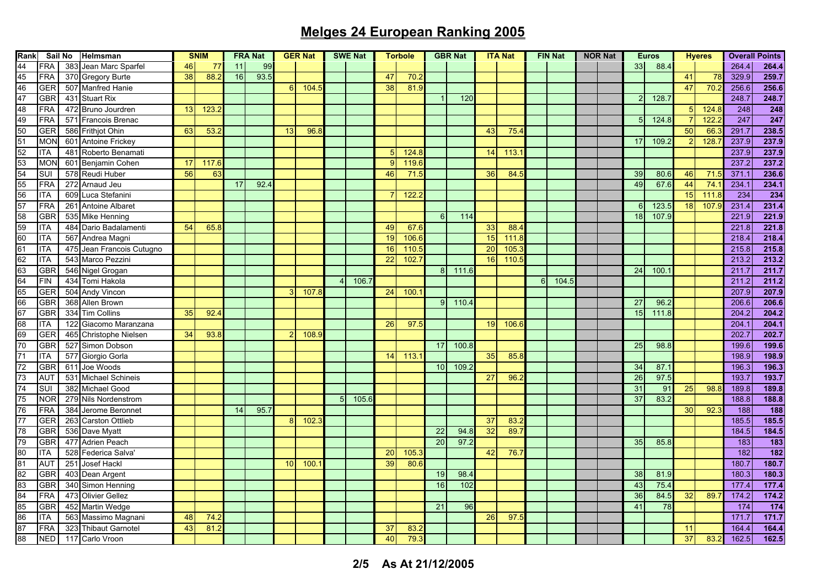| Rank                                            | Sail No    |     | Helmsman                  | <b>SNIM</b>     |       | <b>FRA Nat</b> |      | <b>GER Nat</b> |       | <b>SWE Nat</b> |       | <b>Torbole</b> |       | <b>GBR Nat</b>   |       | <b>ITA Nat</b>  |       | <b>FIN Nat</b> |      | <b>NOR Nat</b> | <b>Euros</b>    |       | <b>Hyeres</b> |       | <b>Overall Points</b> |                  |
|-------------------------------------------------|------------|-----|---------------------------|-----------------|-------|----------------|------|----------------|-------|----------------|-------|----------------|-------|------------------|-------|-----------------|-------|----------------|------|----------------|-----------------|-------|---------------|-------|-----------------------|------------------|
| 44                                              | <b>FRA</b> | 383 | Jean Marc Sparfel         | 46 <sup> </sup> | 77    | 11             | 99   |                |       |                |       |                |       |                  |       |                 |       |                |      |                | 33              | 88.4  |               |       | 264.4                 | 264.4            |
|                                                 | <b>FRA</b> |     | 370 Gregory Burte         | 38              | 88.2  | 16             | 93.5 |                |       |                |       | 47             | 70.2  |                  |       |                 |       |                |      |                |                 |       | 41            | 78    | 329.9                 | 259.7            |
|                                                 | <b>GER</b> |     | 507 Manfred Hanie         |                 |       |                |      | 6              | 104   |                |       | 38             | 81.9  |                  |       |                 |       |                |      |                |                 |       | 47            | 70.2  | 256.6                 | 256.6            |
|                                                 | <b>GBR</b> |     | 431 Stuart Rix            |                 |       |                |      |                |       |                |       |                |       |                  | 120   |                 |       |                |      |                | $\mathcal{P}$   | 128   |               |       | 248.7                 | 248.7            |
| 45 46 47 48 49 50 51 52 53 54 55 56 57 58 59 60 | <b>FRA</b> |     | 472 Bruno Jourdren        | 13              | 123.  |                |      |                |       |                |       |                |       |                  |       |                 |       |                |      |                |                 |       | 5             | 124.  | 248                   | 248              |
|                                                 | <b>FRA</b> |     | 571 Francois Brenac       |                 |       |                |      |                |       |                |       |                |       |                  |       |                 |       |                |      |                | 5               | 124.8 |               | 122.  | 247                   | $\overline{247}$ |
|                                                 | <b>GER</b> |     | 586 Frithjot Ohin         | 63              | 53.2  |                |      | 13             | 96.8  |                |       |                |       |                  |       | 43              | 754   |                |      |                |                 |       | 50            | 66.   | 291.7                 | 238.5            |
|                                                 | MON        |     | 601 Antoine Frickey       |                 |       |                |      |                |       |                |       |                |       |                  |       |                 |       |                |      |                | 17              | 109.2 | $\mathcal{P}$ | 128.  | 237.9                 | 237.9            |
|                                                 | <b>ITA</b> | 481 | Roberto Benamati          |                 |       |                |      |                |       |                |       | 5              | 124.8 |                  |       | 14              | 113.7 |                |      |                |                 |       |               |       | 237.9                 | 237.9            |
|                                                 | <b>MON</b> |     | 601 Benjamin Cohen        | 17              | 117.6 |                |      |                |       |                |       | 9              | 119.6 |                  |       |                 |       |                |      |                |                 |       |               |       | 237.2                 | 237.2            |
|                                                 | SUI        |     | 578 Reudi Huber           | 56              | 63    |                |      |                |       |                |       | 46             | 71.5  |                  |       | 36              | 84.5  |                |      |                | 39              | 80.6  | 46            | 71.   | 371.1                 | 236.6            |
|                                                 | <b>FRA</b> |     | 272 Arnaud Jeu            |                 |       | 17             | 92.4 |                |       |                |       |                |       |                  |       |                 |       |                |      |                | 49              | 67.6  | 44            | 74.   | 234.1                 | 234.1            |
|                                                 | <b>ITA</b> |     | 609 Luca Stefanini        |                 |       |                |      |                |       |                |       |                | 122.  |                  |       |                 |       |                |      |                |                 |       | 15            | 111.  | 234                   | 234              |
|                                                 | <b>FRA</b> | 261 | <b>Antoine Albaret</b>    |                 |       |                |      |                |       |                |       |                |       |                  |       |                 |       |                |      |                | 6               | 123.  | 18            | 107.9 | 231.4                 | 231.4            |
|                                                 | <b>GBR</b> |     | 535 Mike Henning          |                 |       |                |      |                |       |                |       |                |       | $6 \overline{6}$ | 114   |                 |       |                |      |                | 18              | 107.9 |               |       | 221.9                 | 221.9            |
|                                                 | <b>ITA</b> |     | 484 Dario Badalamenti     | 54              | 65.8  |                |      |                |       |                |       | 49             | 67.6  |                  |       | 33              | 88.4  |                |      |                |                 |       |               |       | 221.8                 | 221.8            |
|                                                 | <b>ITA</b> | 567 | Andrea Magni              |                 |       |                |      |                |       |                |       | 19             | 106.6 |                  |       | 15              | 111.8 |                |      |                |                 |       |               |       | 218.4                 | 218.4            |
|                                                 | <b>ITA</b> |     | 475 Jean Francois Cutugno |                 |       |                |      |                |       |                |       | 16             | 110.  |                  |       | 20              | 105.  |                |      |                |                 |       |               |       | 215.8                 | 215.8            |
|                                                 | <b>ITA</b> |     | 543 Marco Pezzini         |                 |       |                |      |                |       |                |       | 22             | 102.  |                  |       | 16              | 110.  |                |      |                |                 |       |               |       | 213.2                 | 213.2            |
|                                                 | <b>GBR</b> |     | 546 Nigel Grogan          |                 |       |                |      |                |       |                |       |                |       | 8 <sup>1</sup>   | 111.6 |                 |       |                |      |                | 24              | 100.  |               |       | 211.7                 | 211.7            |
|                                                 | <b>FIN</b> | 434 | Tomi Hakola               |                 |       |                |      |                |       |                | 106.  |                |       |                  |       |                 |       | 6              | 104. |                |                 |       |               |       | 211.2                 | 211.2            |
|                                                 | GER        | 504 | <b>Andy Vincon</b>        |                 |       |                |      |                | 107.8 |                |       | 24             | 100.  |                  |       |                 |       |                |      |                |                 |       |               |       | 207.9                 | 207.9            |
|                                                 | <b>GBR</b> |     | 368 Allen Brown           |                 |       |                |      |                |       |                |       |                |       | 9 <sup>1</sup>   | 110.4 |                 |       |                |      |                | 27              | 96.   |               |       | 206.6                 | 206.6            |
| 61 62 63 64 65 66 67 68 69 70 71 72             | <b>GBR</b> | 334 | <b>Tim Collins</b>        | 35              | 92.4  |                |      |                |       |                |       |                |       |                  |       |                 |       |                |      |                | 15              | 111.8 |               |       | 204.2                 | 204.2            |
|                                                 | ITA        | 122 | Giacomo Maranzana         |                 |       |                |      |                |       |                |       | 26             | 97.5  |                  |       | 19              | 106.6 |                |      |                |                 |       |               |       | 204.1                 | 204.1            |
|                                                 | GER        |     | 465 Christophe Nielsen    | 34              | 93.8  |                |      |                | 108.9 |                |       |                |       |                  |       |                 |       |                |      |                |                 |       |               |       | 202.7                 | 202.7            |
|                                                 | <b>GBR</b> | 527 | Simon Dobson              |                 |       |                |      |                |       |                |       |                |       | 17               | 100.8 |                 |       |                |      |                | 25              | 98.8  |               |       | 199.6                 | 199.6            |
|                                                 | <b>ITA</b> |     | 577 Giorgio Gorla         |                 |       |                |      |                |       |                |       | 14             | 113.  |                  |       | 35              | 85.8  |                |      |                |                 |       |               |       | 198.9                 | 198.9            |
|                                                 | <b>GBR</b> | 611 | Joe Woods                 |                 |       |                |      |                |       |                |       |                |       | 10 <sup>1</sup>  | 109.2 |                 |       |                |      |                | 34              | 87.   |               |       | 196.3                 | 196.3            |
| 73                                              | <b>AUT</b> | 531 | <b>Michael Schineis</b>   |                 |       |                |      |                |       |                |       |                |       |                  |       | $\overline{27}$ | 96.2  |                |      |                | $\overline{26}$ | 97.5  |               |       | 193.7                 | 193.7            |
|                                                 | SUI        |     | 382 Michael Good          |                 |       |                |      |                |       |                |       |                |       |                  |       |                 |       |                |      |                | 31              | 91    | 25            | 98.   | 189.8                 | 189.8            |
|                                                 | <b>NOR</b> |     | 279 Nils Nordenstrom      |                 |       |                |      |                |       | 5              | 105.6 |                |       |                  |       |                 |       |                |      |                | 37              | 83.2  |               |       | 188.8                 | 188.8            |
|                                                 | FRA        | 384 | Jerome Beronnet           |                 |       | 14             | 95.7 |                |       |                |       |                |       |                  |       |                 |       |                |      |                |                 |       | 30            | 92.3  | 188                   | 188              |
|                                                 | <b>GER</b> |     | 263 Carston Ottlieb       |                 |       |                |      | 8              | 102.  |                |       |                |       |                  |       | 37              | 83.   |                |      |                |                 |       |               |       | 185.5                 | 185.5            |
|                                                 | <b>GBR</b> |     | 536 Dave Myatt            |                 |       |                |      |                |       |                |       |                |       | 22               | 94.8  | 32              | 89.   |                |      |                |                 |       |               |       | 184.5                 | 184.5            |
|                                                 | <b>GBR</b> |     | 477 Adrien Peach          |                 |       |                |      |                |       |                |       |                |       | $\overline{20}$  | 97.2  |                 |       |                |      |                | 35              | 85.8  |               |       | 183                   | 183              |
|                                                 | <b>ITA</b> |     | 528 Federica Salva'       |                 |       |                |      |                |       |                |       | 20             | 105.  |                  |       | 42              | 76.7  |                |      |                |                 |       |               |       | 182                   | 182              |
|                                                 | AUT        | 251 | Josef Hackl               |                 |       |                |      | 10             | 100   |                |       | 39             | 80.6  |                  |       |                 |       |                |      |                |                 |       |               |       | 180.7                 | 180.7            |
|                                                 | <b>GBR</b> |     | 403 Dean Argent           |                 |       |                |      |                |       |                |       |                |       | 19               | 98.4  |                 |       |                |      |                | 38              | 81.9  |               |       | 180.3                 | 180.3            |
|                                                 | <b>GBR</b> |     | 340 Simon Henning         |                 |       |                |      |                |       |                |       |                |       | 16               | 102   |                 |       |                |      |                | 43              | 75.4  |               |       | 177.4                 | 177.4            |
|                                                 | <b>FRA</b> |     | 473 Olivier Gellez        |                 |       |                |      |                |       |                |       |                |       |                  |       |                 |       |                |      |                | 36              | 84.5  | 32            | 89.   | 174.2                 | 174.2            |
|                                                 | <b>GBR</b> |     | 452 Martin Wedge          |                 |       |                |      |                |       |                |       |                |       | 21               | 96    |                 |       |                |      |                | 41              | 78    |               |       | 174                   | 174              |
|                                                 | ITA        |     | 563 Massimo Magnani       | 48              | 74.2  |                |      |                |       |                |       |                |       |                  |       | 26              | 97.5  |                |      |                |                 |       |               |       | 171.7                 | 171.7            |
| 74 75 76 77 78 79 80 81 82 83 84 85 86 87       | <b>FRA</b> | 323 | <b>Thibaut Garnotel</b>   | 43              | 81.2  |                |      |                |       |                |       | 37             | 83.   |                  |       |                 |       |                |      |                |                 |       | 11            |       | 164.4                 | 164.4            |
| 88                                              | NED        |     | Carlo Vroon               |                 |       |                |      |                |       |                |       |                | 79.3  |                  |       |                 |       |                |      |                |                 |       | 37            |       | 162.5                 | 162.5            |
|                                                 |            | 117 |                           |                 |       |                |      |                |       |                |       | 40             |       |                  |       |                 |       |                |      |                |                 |       |               | 83.   |                       |                  |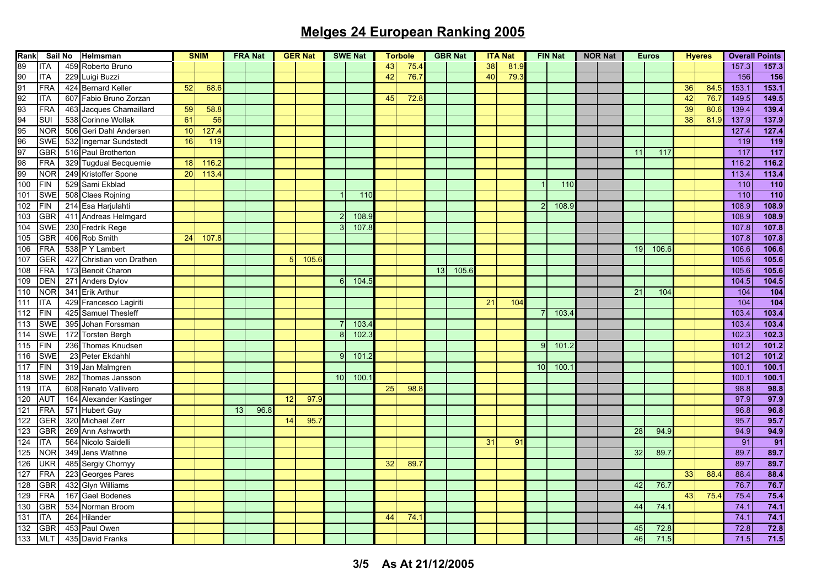| Rank                                               | Sail No    |  | Helmsman                  | <b>SNIM</b> |       | <b>FRA Nat</b> |      | <b>GER Nat</b> |       | <b>SWE Nat</b> |       | <b>Torbole</b> |      | <b>GBR Nat</b>  |       | <b>ITA Nat</b> |      | <b>FIN Nat</b> |       | <b>NOR Nat</b> |    | <b>Euros</b> | <b>Hyeres</b> |      | <b>Overall Points</b> |                  |
|----------------------------------------------------|------------|--|---------------------------|-------------|-------|----------------|------|----------------|-------|----------------|-------|----------------|------|-----------------|-------|----------------|------|----------------|-------|----------------|----|--------------|---------------|------|-----------------------|------------------|
| 80                                                 | <b>ITA</b> |  | 459 Roberto Bruno         |             |       |                |      |                |       |                |       | 43             | 75.4 |                 |       | 38             | 81.9 |                |       |                |    |              |               |      | 157.3                 | 157.3            |
|                                                    | <b>ITA</b> |  | 229 Luigi Buzzi           |             |       |                |      |                |       |                |       | 42             | 76.7 |                 |       | 40             | 79.  |                |       |                |    |              |               |      | 156                   | 156              |
|                                                    | <b>FRA</b> |  | 424 Bernard Keller        | 52          | 68.6  |                |      |                |       |                |       |                |      |                 |       |                |      |                |       |                |    |              | 36            | 84.  | 153.1                 | 153.1            |
|                                                    | <b>ITA</b> |  | 607 Fabio Bruno Zorzan    |             |       |                |      |                |       |                |       | 45             | 72.8 |                 |       |                |      |                |       |                |    |              | 42            | 76.  | 149.5                 | 149.5            |
|                                                    | <b>FRA</b> |  | 463 Jacques Chamaillard   | 59          | 58.8  |                |      |                |       |                |       |                |      |                 |       |                |      |                |       |                |    |              | 39            | 80.  | 139.4                 | 139.4            |
| 91<br>92<br>93<br>94<br>95<br>96<br>97<br>98<br>99 | <b>SUI</b> |  | 538 Corinne Wollak        | 61          | 56    |                |      |                |       |                |       |                |      |                 |       |                |      |                |       |                |    |              | 38            | 81.  | 137.9                 | 137.9            |
|                                                    | <b>NOR</b> |  | 506 Geri Dahl Andersen    | 10          | 127.4 |                |      |                |       |                |       |                |      |                 |       |                |      |                |       |                |    |              |               |      | 127.4                 | 127.4            |
|                                                    | <b>SWE</b> |  | 532 Ingemar Sundstedt     | 16          | 119   |                |      |                |       |                |       |                |      |                 |       |                |      |                |       |                |    |              |               |      | 119                   | $\overline{119}$ |
|                                                    | <b>GBR</b> |  | 516 Paul Brotherton       |             |       |                |      |                |       |                |       |                |      |                 |       |                |      |                |       |                | 11 | 117          |               |      | 117                   | 117              |
|                                                    | <b>FRA</b> |  | 329 Tugdual Becquemie     | 18          | 116.  |                |      |                |       |                |       |                |      |                 |       |                |      |                |       |                |    |              |               |      | 116.2                 | 116.2            |
|                                                    | <b>NOR</b> |  | 249 Kristoffer Spone      | 20          | 113.4 |                |      |                |       |                |       |                |      |                 |       |                |      |                |       |                |    |              |               |      | 113.4                 | 113.4            |
| 100                                                | <b>FIN</b> |  | 529 Sami Ekblad           |             |       |                |      |                |       |                |       |                |      |                 |       |                |      |                | 110   |                |    |              |               |      | 110                   | 110              |
| 101                                                | <b>SWE</b> |  | 508 Claes Rojning         |             |       |                |      |                |       |                | 110   |                |      |                 |       |                |      |                |       |                |    |              |               |      | 110                   | 110              |
| 102                                                | FIN        |  | 214 Esa Harjulahti        |             |       |                |      |                |       |                |       |                |      |                 |       |                |      | $\overline{2}$ | 108.9 |                |    |              |               |      | 108.9                 | 108.9            |
| 103                                                | <b>GBR</b> |  | 411 Andreas Helmgard      |             |       |                |      |                |       | $\overline{2}$ | 108.  |                |      |                 |       |                |      |                |       |                |    |              |               |      | 108.9                 | 108.9            |
| 104                                                | <b>SWE</b> |  | 230 Fredrik Rege          |             |       |                |      |                |       | 3              | 107.8 |                |      |                 |       |                |      |                |       |                |    |              |               |      | 107.8                 | 107.8            |
| 105                                                | <b>GBR</b> |  | 406 Rob Smith             | 24          | 107.8 |                |      |                |       |                |       |                |      |                 |       |                |      |                |       |                |    |              |               |      | 107.8                 | 107.8            |
| 106                                                | <b>FRA</b> |  | 538 P Y Lambert           |             |       |                |      |                |       |                |       |                |      |                 |       |                |      |                |       |                | 19 | 106.6        |               |      | 106.6                 | 106.6            |
| 107                                                | GER        |  | 427 Christian von Drathen |             |       |                |      | 5              | 105.6 |                |       |                |      |                 |       |                |      |                |       |                |    |              |               |      | 105.6                 | 105.6            |
| 108                                                | <b>FRA</b> |  | 173 Benoit Charon         |             |       |                |      |                |       |                |       |                |      | 13 <sup>1</sup> | 105.6 |                |      |                |       |                |    |              |               |      | 105.6                 | 105.6            |
| 109                                                | <b>DEN</b> |  | 271 Anders Dylov          |             |       |                |      |                |       | 6              | 104.  |                |      |                 |       |                |      |                |       |                |    |              |               |      | 104.5                 | 104.5            |
| 110                                                | <b>NOR</b> |  | 341 Erik Arthur           |             |       |                |      |                |       |                |       |                |      |                 |       |                |      |                |       |                | 21 | 104          |               |      | 104                   | $\overline{104}$ |
| 111                                                | <b>ITA</b> |  | 429 Francesco Lagiriti    |             |       |                |      |                |       |                |       |                |      |                 |       | 21             | 104  |                |       |                |    |              |               |      | 104                   | 104              |
| 112                                                | <b>FIN</b> |  | 425 Samuel Thesleff       |             |       |                |      |                |       |                |       |                |      |                 |       |                |      | 7              | 103.4 |                |    |              |               |      | 103.4                 | 103.4            |
| 113                                                | <b>SWE</b> |  | 395 Johan Forssman        |             |       |                |      |                |       |                | 103.4 |                |      |                 |       |                |      |                |       |                |    |              |               |      | 103.4                 | 103.4            |
| 114                                                | <b>SWE</b> |  | 172 Torsten Bergh         |             |       |                |      |                |       | 8              | 102.  |                |      |                 |       |                |      |                |       |                |    |              |               |      | 102.3                 | 102.3            |
| $\overline{115}$                                   | FIN        |  | 236 Thomas Knudsen        |             |       |                |      |                |       |                |       |                |      |                 |       |                |      | 9              | 101.2 |                |    |              |               |      | 101.2                 | 101.2            |
| 116                                                | <b>SWE</b> |  | 23 Peter Ekdahhl          |             |       |                |      |                |       | $\mathbf{Q}$   | 101.  |                |      |                 |       |                |      |                |       |                |    |              |               |      | 101.2                 | 101.2            |
| 117                                                | <b>FIN</b> |  | 319 Jan Malmgren          |             |       |                |      |                |       |                |       |                |      |                 |       |                |      | 10             | 100.  |                |    |              |               |      | 100.1                 | 100.1            |
| 118                                                | <b>SWE</b> |  | 282 Thomas Jansson        |             |       |                |      |                |       | 10             | 100.  |                |      |                 |       |                |      |                |       |                |    |              |               |      | 100.7                 | 100.1            |
| 119                                                | <b>ITA</b> |  | 608 Renato Vallivero      |             |       |                |      |                |       |                |       | 25             | 98.8 |                 |       |                |      |                |       |                |    |              |               |      | 98.8                  | 98.8             |
| 120                                                | AUT        |  | 164 Alexander Kastinger   |             |       |                |      | 12             | 97.9  |                |       |                |      |                 |       |                |      |                |       |                |    |              |               |      | 97.9                  | 97.9             |
| 121                                                | <b>FRA</b> |  | 571 Hubert Guy            |             |       | 13             | 96.8 |                |       |                |       |                |      |                 |       |                |      |                |       |                |    |              |               |      | 96.8                  | 96.8             |
| 122                                                | <b>GER</b> |  | 320 Michael Zerr          |             |       |                |      | 14             | 95.   |                |       |                |      |                 |       |                |      |                |       |                |    |              |               |      | 95.7                  | 95.7             |
| 123                                                | GBR        |  | 269 Ann Ashworth          |             |       |                |      |                |       |                |       |                |      |                 |       |                |      |                |       |                | 28 | 94.9         |               |      | 94.9                  | 94.9             |
| 124                                                | <b>ITA</b> |  | 564 Nicolo Saidelli       |             |       |                |      |                |       |                |       |                |      |                 |       | 31             | 91   |                |       |                |    |              |               |      | 91                    | 91               |
| 125                                                | <b>NOR</b> |  | 349 Jens Wathne           |             |       |                |      |                |       |                |       |                |      |                 |       |                |      |                |       |                | 32 | 89.7         |               |      | 89.7                  | 89.7             |
| 126                                                | <b>UKR</b> |  | 485 Sergiy Chornyy        |             |       |                |      |                |       |                |       | 32             | 89.  |                 |       |                |      |                |       |                |    |              |               |      | 89.7                  | 89.7             |
| 127                                                | <b>FRA</b> |  | 223 Georges Pares         |             |       |                |      |                |       |                |       |                |      |                 |       |                |      |                |       |                |    |              | 33            | 88.  | 88.4                  | 88.4             |
| 128                                                | GBR        |  | 432 Glyn Williams         |             |       |                |      |                |       |                |       |                |      |                 |       |                |      |                |       |                | 42 | 76.7         |               |      | 76.7                  | 76.7             |
| 129                                                | <b>FRA</b> |  | 167 Gael Bodenes          |             |       |                |      |                |       |                |       |                |      |                 |       |                |      |                |       |                |    |              | 43            | 75.4 | 75.4                  | 75.4             |
| 130                                                | <b>GBR</b> |  | 534 Norman Broom          |             |       |                |      |                |       |                |       |                |      |                 |       |                |      |                |       |                | 44 | 74.7         |               |      | 74.1                  | 74.1             |
| 131                                                | <b>ITA</b> |  | 264 Hilander              |             |       |                |      |                |       |                |       | 44             | 74.  |                 |       |                |      |                |       |                |    |              |               |      | 74.1                  | 74.1             |
| 132                                                | GBR        |  | 453 Paul Owen             |             |       |                |      |                |       |                |       |                |      |                 |       |                |      |                |       |                | 45 | 72.8         |               |      | 72.8                  | 72.8             |
| 133                                                | <b>MLT</b> |  | 435 David Franks          |             |       |                |      |                |       |                |       |                |      |                 |       |                |      |                |       |                | 46 | 71.5         |               |      | 71.5                  | 71.5             |